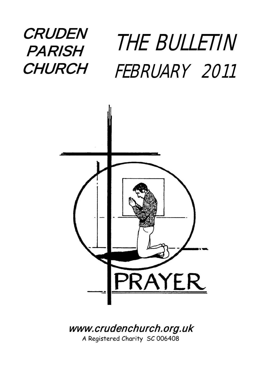# **CRUDEN PARISH CHURCH**

# THE BULLETIN FEBRUARY 2011



## [www.crudenc](http://www.cruden/)hurch.org.uk

A Registered Charity SC 006408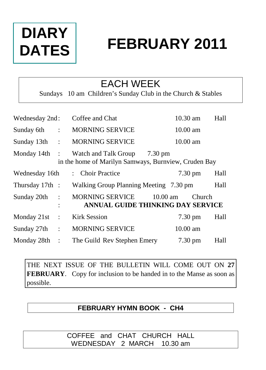# **DIARY DATES**

# **FEBRUARY 2011**

### EACH WEEK

Sundays 10 am Children's Sunday Club in the Church & Stables

| Wednesday 2nd:  |                      | Coffee and Chat                                                                                   | 10.30 am           | Hall |  |  |  |
|-----------------|----------------------|---------------------------------------------------------------------------------------------------|--------------------|------|--|--|--|
| Sunday 6th      | $\ddot{\cdot}$       | <b>MORNING SERVICE</b>                                                                            | 10.00 am           |      |  |  |  |
| Sunday 13th     | $\ddot{\phantom{a}}$ | <b>MORNING SERVICE</b>                                                                            | $10.00 \text{ am}$ |      |  |  |  |
| Monday $14th$ : |                      | $7.30 \text{ pm}$<br>Watch and Talk Group<br>in the home of Marilyn Samways, Burnview, Cruden Bay |                    |      |  |  |  |
| Wednesday 16th  |                      | : Choir Practice                                                                                  | $7.30 \text{ pm}$  | Hall |  |  |  |
| Thursday 17th : |                      | Walking Group Planning Meeting 7.30 pm                                                            |                    | Hall |  |  |  |
| Sunday 20th     | $\ddot{\cdot}$       | <b>MORNING SERVICE</b><br>$10.00$ am<br>ANNUAL GUIDE THINKING DAY SERVICE                         | Church             |      |  |  |  |
| Monday 21st     | $\ddot{\cdot}$       | <b>Kirk Session</b>                                                                               | $7.30 \text{ pm}$  | Hall |  |  |  |
| Sunday 27th :   |                      | <b>MORNING SERVICE</b>                                                                            | $10.00$ am         |      |  |  |  |
| Monday 28th     | $\therefore$         | The Guild Rev Stephen Emery                                                                       | $7.30 \text{ pm}$  | Hall |  |  |  |

THE NEXT ISSUE OF THE BULLETIN WILL COME OUT ON **27 FEBRUARY**. Copy for inclusion to be handed in to the Manse as soon as possible.

#### **FEBRUARY HYMN BOOK - CH4**

COFFEE and CHAT CHURCH HALL WEDNESDAY 2 MARCH 10.30 am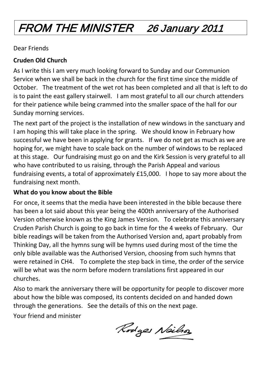# FROM THE MINISTER 26 January 2011

Dear Friends

#### **Cruden Old Church**

As I write this I am very much looking forward to Sunday and our Communion Service when we shall be back in the church for the first time since the middle of October. The treatment of the wet rot has been completed and all that is left to do is to paint the east gallery stairwell. I am most grateful to all our church attenders for their patience while being crammed into the smaller space of the hall for our Sunday morning services.

The next part of the project is the installation of new windows in the sanctuary and I am hoping this will take place in the spring. We should know in February how successful we have been in applying for grants. If we do not get as much as we are hoping for, we might have to scale back on the number of windows to be replaced at this stage. Our fundraising must go on and the Kirk Session is very grateful to all who have contributed to us raising, through the Parish Appeal and various fundraising events, a total of approximately £15,000. I hope to say more about the fundraising next month.

#### **What do you know about the Bible**

For once, it seems that the media have been interested in the bible because there has been a lot said about this year being the 400th anniversary of the Authorised Version otherwise known as the King James Version. To celebrate this anniversary Cruden Parish Church is going to go back in time for the 4 weeks of February. Our bible readings will be taken from the Authorised Version and, apart probably from Thinking Day, all the hymns sung will be hymns used during most of the time the only bible available was the Authorised Version, choosing from such hymns that were retained in CH4. To complete the step back in time, the order of the service will be what was the norm before modern translations first appeared in our churches.

Also to mark the anniversary there will be opportunity for people to discover more about how the bible was composed, its contents decided on and handed down through the generations. See the details of this on the next page.

Your friend and minister

Rodges Neilso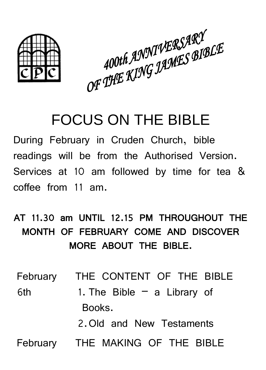

400th ANNIVERSARY<br>OF THE KING JAMES BIBLE

# FOCUS ON THE BIBLE

During February in Cruden Church, bible readings will be from the Authorised Version. Services at 10 am followed by time for tea & coffee from 11 am.

## AT 11.30 am UNTIL 12.15 PM THROUGHOUT THE MONTH OF FEBRUARY COME AND DISCOVER MORE ABOUT THE BIBLE.

February THE CONTENT OF THE BIBLE

6th 1. The Bible – a Library of Books.

2.Old and New Testaments

February THE MAKING OF THE BIBLE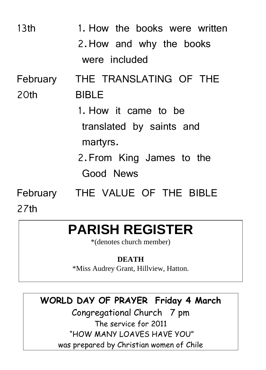| 13 <sub>th</sub> | 1. How the books were written        |  |  |
|------------------|--------------------------------------|--|--|
|                  | 2. How and why the books             |  |  |
|                  | were included                        |  |  |
| February         | THE TRANSLATING OF THE               |  |  |
| 20th             | <b>BIBLE</b>                         |  |  |
|                  | 1. How it came to be                 |  |  |
|                  | translated by saints and<br>martyrs. |  |  |
|                  | 2. From King James to the            |  |  |
|                  | Good News                            |  |  |
| 27th             | February THE VALUE OF THE BIBLE      |  |  |

# **PARISH REGISTER**

\*(denotes church member)

#### **DEATH**

\*Miss Audrey Grant, Hillview, Hatton.

### **WORLD DAY OF PRAYER Friday 4 March**

Congregational Church 7 pm The service for 2011 "HOW MANY LOAVES HAVE YOU" was prepared by Christian women of Chile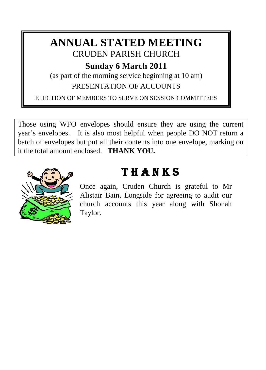### **ANNUAL STATED MEETING** CRUDEN PARISH CHURCH

**Sunday 6 March 2011**

(as part of the morning service beginning at 10 am) PRESENTATION OF ACCOUNTS

ELECTION OF MEMBERS TO SERVE ON SESSION COMMITTEES

Those using WFO envelopes should ensure they are using the current year's envelopes. It is also most helpful when people DO NOT return a batch of envelopes but put all their contents into one envelope, marking on it the total amount enclosed. **THANK YOU.**



## T H A N K S

Once again, Cruden Church is grateful to Mr Alistair Bain, Longside for agreeing to audit our church accounts this year along with Shonah Taylor.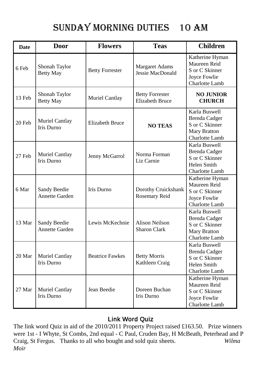### SUNDAY MORNING DUTIES 10 am

| <b>Date</b> | Door                                  | <b>Flowers</b>         | <b>Teas</b>                                      | <b>Children</b>                                                                                         |
|-------------|---------------------------------------|------------------------|--------------------------------------------------|---------------------------------------------------------------------------------------------------------|
| 6 Feb       | Shonah Taylor<br><b>Betty May</b>     | <b>Betty Forrester</b> | Margaret Adams<br>Jessie MacDonald               | Katherine Hyman<br>Maureen Reid<br>S or C Skinner<br>Joyce Fowlie<br><b>Charlotte Lamb</b>              |
| 13 Feb      | Shonah Taylor<br><b>Betty May</b>     | Muriel Cantlay         | <b>Betty Forrester</b><br><b>Elizabeth Bruce</b> | <b>NO JUNIOR</b><br><b>CHURCH</b>                                                                       |
| 20 Feb      | Muriel Cantlay<br><b>Iris Durno</b>   | <b>Elizabeth Bruce</b> | <b>NO TEAS</b>                                   | Karla Buswell<br><b>Brenda Cadger</b><br>S or C Skinner<br><b>Mary Bratton</b><br><b>Charlotte Lamb</b> |
| 27 Feb      | Muriel Cantlay<br><b>Iris Durno</b>   | Jenny McGarrol         | Norma Forman<br>Liz Carnie                       | Karla Buswell<br>Brenda Cadger<br>S or C Skinner<br>Helen Smith<br>Charlotte Lamb                       |
| 6 Mar       | Sandy Beedie<br><b>Annette Garden</b> | Iris Durno             | Dorothy Cruickshank<br>Rosemary Reid             | Katherine Hyman<br>Maureen Reid<br>S or C Skinner<br>Joyce Fowlie<br>Charlotte Lamb                     |
| 13 Mar      | Sandy Beedie<br>Annette Garden        | Lewis McKechnie        | <b>Alison Neilson</b><br><b>Sharon Clark</b>     | Karla Buswell<br><b>Brenda Cadger</b><br>S or C Skinner<br>Mary Bratton<br>Charlotte Lamb               |
| 20 Mar      | Muriel Cantlay<br>Iris Durno          | <b>Beatrice Fawkes</b> | <b>Betty Morris</b><br>Kathleen Craig            | Karla Buswell<br><b>Brenda Cadger</b><br>S or C Skinner<br>Helen Smith<br>Charlotte Lamb                |
| 27 Mar      | Muriel Cantlay<br><b>Iris Durno</b>   | Jean Beedie            | Doreen Buchan<br><b>Iris Durno</b>               | Katherine Hyman<br>Maureen Reid<br>S or C Skinner<br>Joyce Fowlie<br><b>Charlotte Lamb</b>              |

#### Link Word Quiz

The link word Quiz in aid of the 2010/2011 Property Project raised £163.50. Prize winners were 1st - I Whyte, St Combs, 2nd equal - C Paul, Cruden Bay, H McBeath, Peterhead and P Craig, St Fergus. Thanks to all who bought and sold quiz sheets. *Wilma Moir*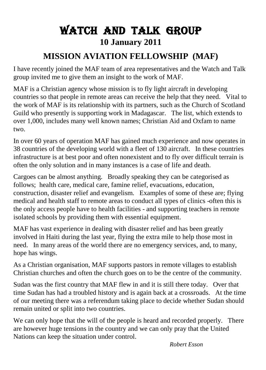## Watch And Talk Group **10 January 2011**

#### **MISSION AVIATION FELLOWSHIP (MAF)**

I have recently joined the MAF team of area representatives and the Watch and Talk group invited me to give them an insight to the work of MAF.

MAF is a Christian agency whose mission is to fly light aircraft in developing countries so that people in remote areas can receive the help that they need. Vital to the work of MAF is its relationship with its partners, such as the Church of Scotland Guild who presently is supporting work in Madagascar. The list, which extends to over 1,000, includes many well known names; Christian Aid and Oxfam to name two.

In over 60 years of operation MAF has gained much experience and now operates in 38 countries of the developing world with a fleet of 130 aircraft. In these countries infrastructure is at best poor and often nonexistent and to fly over difficult terrain is often the only solution and in many instances is a case of life and death.

Cargoes can be almost anything. Broadly speaking they can be categorised as follows; health care, medical care, famine relief, evacuations, education, construction, disaster relief and evangelism. Examples of some of these are; flying medical and health staff to remote areas to conduct all types of clinics -often this is the only access people have to health facilities - and supporting teachers in remote isolated schools by providing them with essential equipment.

MAF has vast experience in dealing with disaster relief and has been greatly involved in Haiti during the last year, flying the extra mile to help those most in need. In many areas of the world there are no emergency services, and, to many, hope has wings.

As a Christian organisation, MAF supports pastors in remote villages to establish Christian churches and often the church goes on to be the centre of the community.

Sudan was the first country that MAF flew in and it is still there today. Over that time Sudan has had a troubled history and is again back at a crossroads. At the time of our meeting there was a referendum taking place to decide whether Sudan should remain united or split into two countries.

We can only hope that the will of the people is heard and recorded properly. There are however huge tensions in the country and we can only pray that the United Nations can keep the situation under control.

*Robert Esson*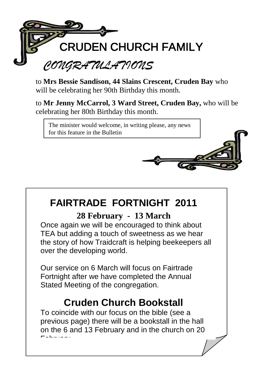

to **Mrs Bessie Sandison, 44 Slains Crescent, Cruden Bay** who will be celebrating her 90th Birthday this month.

to **Mr Jenny McCarrol, 3 Ward Street, Cruden Bay,** who will be celebrating her 80th Birthday this month.

The minister would welcome, in writing please, any news for this feature in the Bulletin

## **FAIRTRADE FORTNIGHT 2011**

#### **28 February - 13 March**

Once again we will be encouraged to think about TEA but adding a touch of sweetness as we hear the story of how Traidcraft is helping beekeepers all over the developing world.

Our service on 6 March will focus on Fairtrade Fortnight after we have completed the Annual Stated Meeting of the congregation.

### **Cruden Church Bookstall**

To coincide with our focus on the bible (see a previous page) there will be a bookstall in the hall on the 6 and 13 February and in the church on 20  $\blacksquare$ elewiany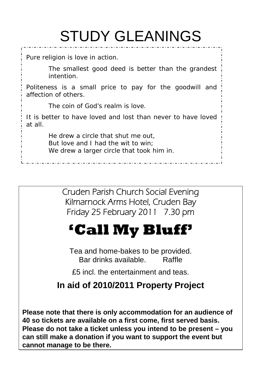# STUDY GLEANINGS

Pure religion is love in action.

*The smallest good deed is better than the grandest intention.*

Politeness is a small price to pay for the goodwill and affection of others.

*The coin of God's realm is love.*

It is better to have loved and lost than never to have loved at all.

> *He drew a circle that shut me out, But love and I had the wit to win; We drew a larger circle that took him in.*

> > Cruden Parish Church Social Evening Kilmarnock Arms Hotel, Cruden Bay Friday 25 February 2011 7.30 pm

# **'Call My Bluff'**

Tea and home-bakes to be provided. Bar drinks available. Raffle

£5 incl. the entertainment and teas.

#### **In aid of 2010/2011 Property Project**

**Please note that there is only accommodation for an audience of 40 so tickets are available on a first come, first served basis. Please do not take a ticket unless you intend to be present – you can still make a donation if you want to support the event but cannot manage to be there.**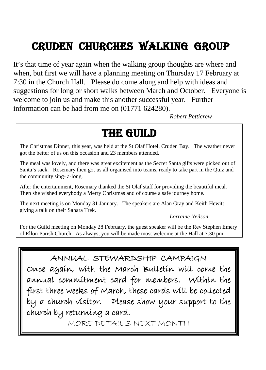## Cruden CHURCHes WALKing group

It's that time of year again when the walking group thoughts are where and when, but first we will have a planning meeting on Thursday 17 February at 7:30 in the Church Hall. Please do come along and help with ideas and suggestions for long or short walks between March and October. Everyone is welcome to join us and make this another successful year. Further information can be had from me on (01771 624280).

*Robert Petticrew*

## THE GUILD

The Christmas Dinner, this year, was held at the St Olaf Hotel, Cruden Bay. The weather never got the better of us on this occasion and 23 members attended.

The meal was lovely, and there was great excitement as the Secret Santa gifts were picked out of Santa's sack. Rosemary then got us all organised into teams, ready to take part in the Quiz and the community sing- a-long.

After the entertainment, Rosemary thanked the St Olaf staff for providing the beautiful meal. Then she wished everybody a Merry Christmas and of course a safe journey home.

The next meeting is on Monday 31 January. The speakers are Alan Gray and Keith Hewitt giving a talk on their Sahara Trek.

*Lorraine Neilson*

For the Guild meeting on Monday 28 February, the guest speaker will be the Rev Stephen Emery of Ellon Parish Church As always, you will be made most welcome at the Hall at 7.30 pm.

#### ANNUAL STEWARDSHIP CAMPAIGN

Once again, with the March Bulletin will come the annual commitment card for members. Within the first three weeks of March, these cards will be collected by a church visitor. Please show your support to the church by returning a card.

MORE DETAILS NEXT MONTH